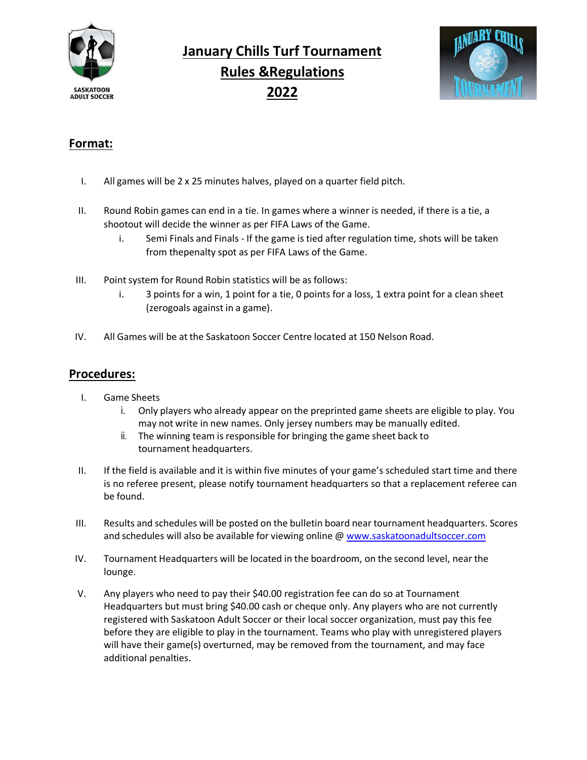

# **January Chills Turf Tournament Rules &Regulations 2022**



# **Format:**

- I. All games will be 2 x 25 minutes halves, played on a quarter field pitch.
- II. Round Robin games can end in a tie. In games where a winner is needed, if there is a tie, a shootout will decide the winner as per FIFA Laws of the Game.
	- i. Semi Finals and Finals If the game is tied after regulation time, shots will be taken from thepenalty spot as per FIFA Laws of the Game.
- III. Point system for Round Robin statistics will be as follows:
	- i. 3 points for a win, 1 point for a tie, 0 points for a loss, 1 extra point for a clean sheet (zerogoals against in a game).
- IV. All Games will be at the Saskatoon Soccer Centre located at 150 Nelson Road.

### **Procedures:**

- I. Game Sheets
	- i. Only players who already appear on the preprinted game sheets are eligible to play. You may not write in new names. Only jersey numbers may be manually edited.
	- ii. The winning team is responsible for bringing the game sheet back to tournament headquarters.
- II. If the field is available and it is within five minutes of your game's scheduled start time and there is no referee present, please notify tournament headquarters so that a replacement referee can be found.
- III. Results and schedules will be posted on the bulletin board near tournament headquarters. Scores and schedules will also be available for viewing online @ [www.saskatoonadultsoccer.com](http://www.saskatoonadultsoccer.com/)
- IV. Tournament Headquarters will be located in the boardroom, on the second level, near the lounge.
- V. Any players who need to pay their \$40.00 registration fee can do so at Tournament Headquarters but must bring \$40.00 cash or cheque only. Any players who are not currently registered with Saskatoon Adult Soccer or their local soccer organization, must pay this fee before they are eligible to play in the tournament. Teams who play with unregistered players will have their game(s) overturned, may be removed from the tournament, and may face additional penalties.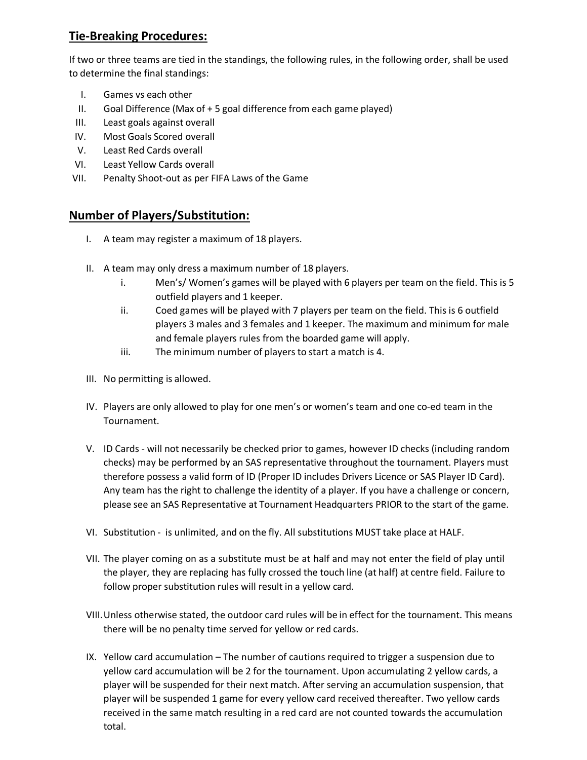# **Tie-Breaking Procedures:**

If two or three teams are tied in the standings, the following rules, in the following order, shall be used to determine the final standings:

- I. Games vs each other
- II. Goal Difference (Max of + 5 goal difference from each game played)
- III. Least goals against overall
- IV. Most Goals Scored overall
- V. Least Red Cards overall
- VI. Least Yellow Cards overall
- VII. Penalty Shoot-out as per FIFA Laws of the Game

# **Number of Players/Substitution:**

- I. A team may register a maximum of 18 players.
- II. A team may only dress a maximum number of 18 players.
	- i. Men's/ Women's games will be played with 6 players per team on the field. This is 5 outfield players and 1 keeper.
	- ii. Coed games will be played with 7 players per team on the field. This is 6 outfield players 3 males and 3 females and 1 keeper. The maximum and minimum for male and female players rules from the boarded game will apply.
	- iii. The minimum number of players to start a match is 4.
- III. No permitting is allowed.
- IV. Players are only allowed to play for one men's or women's team and one co-ed team in the Tournament.
- V. ID Cards will not necessarily be checked prior to games, however ID checks (including random checks) may be performed by an SAS representative throughout the tournament. Players must therefore possess a valid form of ID (Proper ID includes Drivers Licence or SAS Player ID Card). Any team has the right to challenge the identity of a player. If you have a challenge or concern, please see an SAS Representative at Tournament Headquarters PRIOR to the start of the game.
- VI. Substitution is unlimited, and on the fly. All substitutions MUST take place at HALF.
- VII. The player coming on as a substitute must be at half and may not enter the field of play until the player, they are replacing has fully crossed the touch line (at half) at centre field. Failure to follow proper substitution rules will result in a yellow card.
- VIII.Unless otherwise stated, the outdoor card rules will be in effect for the tournament. This means there will be no penalty time served for yellow or red cards.
- IX. Yellow card accumulation The number of cautions required to trigger a suspension due to yellow card accumulation will be 2 for the tournament. Upon accumulating 2 yellow cards, a player will be suspended for their next match. After serving an accumulation suspension, that player will be suspended 1 game for every yellow card received thereafter. Two yellow cards received in the same match resulting in a red card are not counted towards the accumulation total.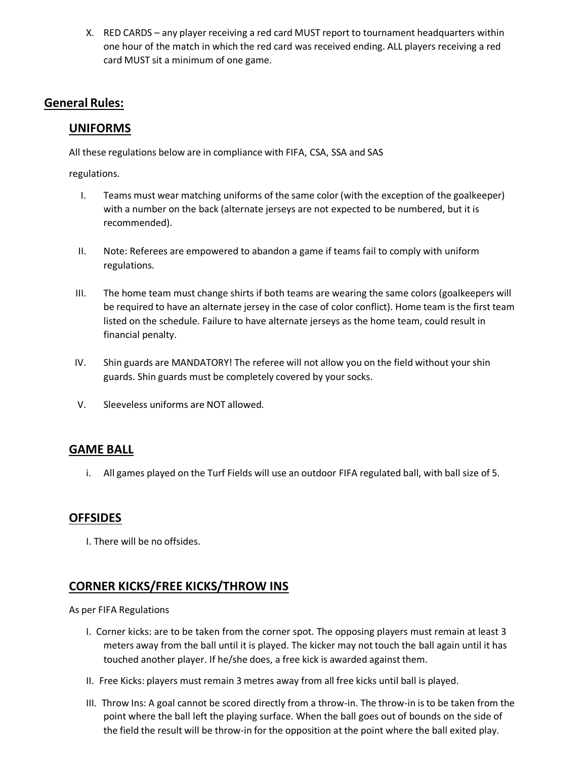X. RED CARDS – any player receiving a red card MUST report to tournament headquarters within one hour of the match in which the red card was received ending. ALL players receiving a red card MUST sit a minimum of one game.

# **General Rules:**

# **UNIFORMS**

All these regulations below are in compliance with FIFA, CSA, SSA and SAS

regulations.

- I. Teams must wear matching uniforms of the same color (with the exception of the goalkeeper) with a number on the back (alternate jerseys are not expected to be numbered, but it is recommended).
- II. Note: Referees are empowered to abandon a game if teams fail to comply with uniform regulations.
- III. The home team must change shirts if both teams are wearing the same colors (goalkeepers will be required to have an alternate jersey in the case of color conflict). Home team is the first team listed on the schedule. Failure to have alternate jerseys as the home team, could result in financial penalty.
- IV. Shin guards are MANDATORY! The referee will not allow you on the field without your shin guards. Shin guards must be completely covered by your socks.
- V. Sleeveless uniforms are NOT allowed.

#### **GAME BALL**

i. All games played on the Turf Fields will use an outdoor FIFA regulated ball, with ball size of 5.

#### **OFFSIDES**

I. There will be no offsides.

# **CORNER KICKS/FREE KICKS/THROW INS**

As per FIFA Regulations

- I. Corner kicks: are to be taken from the corner spot. The opposing players must remain at least 3 meters away from the ball until it is played. The kicker may not touch the ball again until it has touched another player. If he/she does, a free kick is awarded against them.
- II. Free Kicks: players must remain 3 metres away from all free kicks until ball is played.
- III. Throw Ins: A goal cannot be scored directly from a throw-in. The throw-in is to be taken from the point where the ball left the playing surface. When the ball goes out of bounds on the side of the field the result will be throw-in for the opposition at the point where the ball exited play.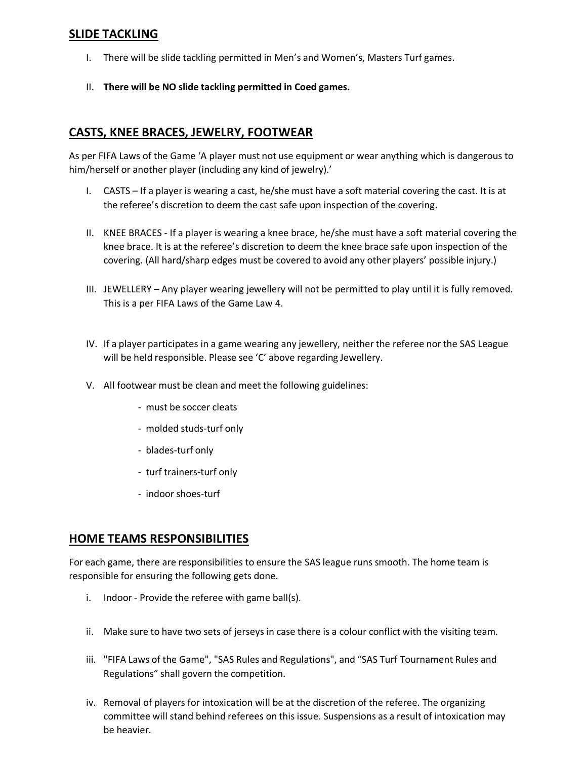#### **SLIDE TACKLING**

- I. There will be slide tackling permitted in Men's and Women's, Masters Turf games.
- II. **There will be NO slide tackling permitted in Coed games.**

# **CASTS, KNEE BRACES, JEWELRY, FOOTWEAR**

As per FIFA Laws of the Game 'A player must not use equipment or wear anything which is dangerous to him/herself or another player (including any kind of jewelry).'

- I. CASTS If a player is wearing a cast, he/she must have a soft material covering the cast. It is at the referee's discretion to deem the cast safe upon inspection of the covering.
- II. KNEE BRACES If a player is wearing a knee brace, he/she must have a soft material covering the knee brace. It is at the referee's discretion to deem the knee brace safe upon inspection of the covering. (All hard/sharp edges must be covered to avoid any other players' possible injury.)
- III. JEWELLERY Any player wearing jewellery will not be permitted to play until it is fully removed. This is a per FIFA Laws of the Game Law 4.
- IV. If a player participates in a game wearing any jewellery, neither the referee nor the SAS League will be held responsible. Please see 'C' above regarding Jewellery.
- V. All footwear must be clean and meet the following guidelines:
	- must be soccer cleats
	- molded studs-turf only
	- blades-turf only
	- turf trainers-turf only
	- indoor shoes-turf

#### **HOME TEAMS RESPONSIBILITIES**

For each game, there are responsibilities to ensure the SAS league runs smooth. The home team is responsible for ensuring the following gets done.

- i. Indoor Provide the referee with game ball(s).
- ii. Make sure to have two sets of jerseys in case there is a colour conflict with the visiting team.
- iii. "FIFA Laws of the Game", "SAS Rules and Regulations", and "SAS Turf Tournament Rules and Regulations" shall govern the competition.
- iv. Removal of players for intoxication will be at the discretion of the referee. The organizing committee will stand behind referees on this issue. Suspensions as a result of intoxication may be heavier.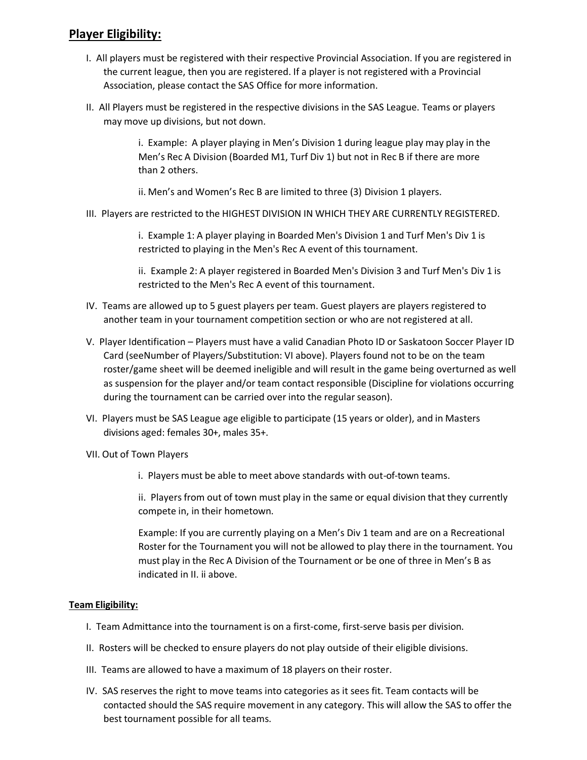# **Player Eligibility:**

- I. All players must be registered with their respective Provincial Association. If you are registered in the current league, then you are registered. If a player is not registered with a Provincial Association, please contact the SAS Office for more information.
- II. All Players must be registered in the respective divisions in the SAS League. Teams or players may move up divisions, but not down.

i. Example: A player playing in Men's Division 1 during league play may play in the Men's Rec A Division (Boarded M1, Turf Div 1) but not in Rec B if there are more than 2 others.

ii. Men's and Women's Rec B are limited to three (3) Division 1 players.

III. Players are restricted to the HIGHEST DIVISION IN WHICH THEY ARE CURRENTLY REGISTERED.

i. Example 1: A player playing in Boarded Men's Division 1 and Turf Men's Div 1 is restricted to playing in the Men's Rec A event of this tournament.

ii. Example 2: A player registered in Boarded Men's Division 3 and Turf Men's Div 1 is restricted to the Men's Rec A event of this tournament.

- IV. Teams are allowed up to 5 guest players per team. Guest players are players registered to another team in your tournament competition section or who are not registered at all.
- V. Player Identification Players must have a valid Canadian Photo ID or Saskatoon Soccer Player ID Card (seeNumber of Players/Substitution: VI above). Players found not to be on the team roster/game sheet will be deemed ineligible and will result in the game being overturned as well as suspension for the player and/or team contact responsible (Discipline for violations occurring during the tournament can be carried over into the regular season).
- VI. Players must be SAS League age eligible to participate (15 years or older), and in Masters divisions aged: females 30+, males 35+.
- VII. Out of Town Players
	- i. Players must be able to meet above standards with out-of-town teams.

ii. Players from out of town must play in the same or equal division that they currently compete in, in their hometown.

Example: If you are currently playing on a Men's Div 1 team and are on a Recreational Roster for the Tournament you will not be allowed to play there in the tournament. You must play in the Rec A Division of the Tournament or be one of three in Men's B as indicated in II. ii above.

#### **Team Eligibility:**

- I. Team Admittance into the tournament is on a first-come, first-serve basis per division.
- II. Rosters will be checked to ensure players do not play outside of their eligible divisions.
- III. Teams are allowed to have a maximum of 18 players on their roster.
- IV. SAS reserves the right to move teams into categories as it sees fit. Team contacts will be contacted should the SAS require movement in any category. This will allow the SAS to offer the best tournament possible for all teams.